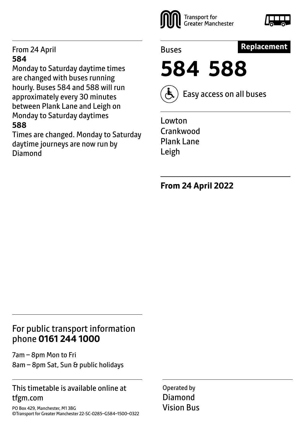#### From 24 April **584**

Monday to Saturday daytime times are changed with buses running hourly. Buses 584 and 588 will run approximately every 30 minutes between Plank Lane and Leigh on Monday to Saturday daytimes **588**

Times are changed. Monday to Saturday daytime journeys are now run by Diamond



Buses

# **Replacement**

**584 588**



Easy access on all buses

Lowton Crankwood Plank Lane Leigh

**From 24 April 2022**

# For public transport information phone **0161 244 1000**

7am – 8pm Mon to Fri 8am – 8pm Sat, Sun & public holidays

### This timetable is available online at tfgm.com

PO Box 429, Manchester, M1 3BG ©Transport for Greater Manchester 22-SC-0285–G584–1500–0322 Operated by Diamond Vision Bus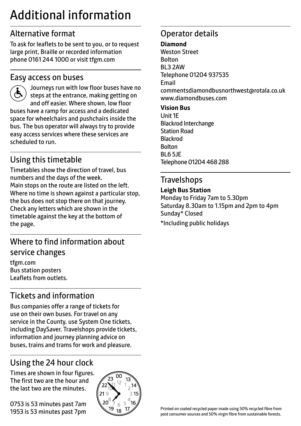# Additional information

# Alternative format

To ask for leaflets to be sent to you, or to request large print, Braille or recorded information phone 0161 244 1000 or visit tfgm.com

## Easy access on buses

 Journeys run with low floor buses have no steps at the entrance, making getting on and off easier. Where shown, low floor buses have a ramp for access and a dedicated space for wheelchairs and pushchairs inside the bus. The bus operator will always try to provide easy access services where these services are scheduled to run.

# Using this timetable

Timetables show the direction of travel, bus numbers and the days of the week. Main stops on the route are listed on the left. Where no time is shown against a particular stop, the bus does not stop there on that journey. Check any letters which are shown in the timetable against the key at the bottom of the page.

# Where to find information about service changes

tfgm.com Bus station posters Leaflets from outlets.

# Tickets and information

Bus companies offer a range of tickets for use on their own buses. For travel on any service in the County, use System One tickets, including DaySaver. Travelshops provide tickets, information and journey planning advice on buses, trains and trams for work and pleasure.

# Using the 24 hour clock

Times are shown in four figures. The first two are the hour and the last two are the minutes.

0753 is 53 minutes past 7am 1953 is 53 minutes past 7pm



# Operator details

#### **Diamond**

Weston Street Bolton BL3 2AW Telephone 01204 937535 Email commentsdiamondbusnorthwest@rotala.co.uk www.diamondbuses.com **Vision Bus**

Unit 1E Blackrod Interchange Station Road Blackrod Bolton BL6 5JE Telephone 01204 468 288

# **Travelshops**

#### **Leigh Bus Station**

Monday to Friday 7am to 5.30pm Saturday 8.30am to 1.15pm and 2pm to 4pm Sunday\* Closed \*Including public holidays

Printed on coated recycled paper made using 50% recycled fibre from post consumer sources and 50% virgin fibre from sustainable forests.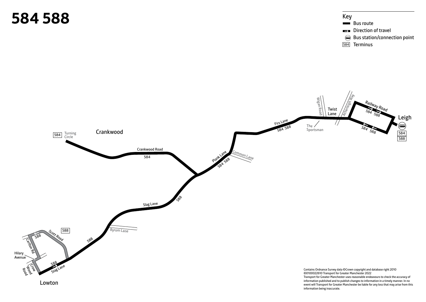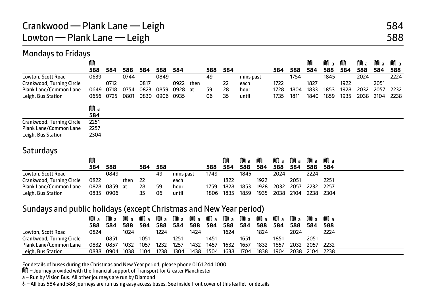### Mondays to Fridays

|                           | M    |      |      |      |           |      |      |     |     |           |      |      | M    | Ma   | M    | Ma   | Ma   | Ma   |
|---------------------------|------|------|------|------|-----------|------|------|-----|-----|-----------|------|------|------|------|------|------|------|------|
|                           | 588  | 584  | 588  | 584  | 588       | 584  |      | 588 | 584 |           | 584  | 588  | 584  | 588  | 584  | 588  | 584  | 588  |
| Lowton, Scott Road        | 0639 |      | 0744 |      | 0849      |      |      | 49  |     | mins past |      | 1754 |      | 1845 |      | 2024 |      | 2224 |
| Crankwood, Turning Circle |      | 0712 |      | 0817 |           | 0922 | then |     | 22  | each      | 1722 |      | 1827 |      | 1922 |      | 2051 |      |
| Plank Lane/Common Lane    | 0649 | 0718 | 0754 | 0823 | 0859      | 0928 | at   | 59  | 28  | hour      | 1728 | 1804 | 1833 | 1853 | 1928 | 2032 | 2057 | 2232 |
| Leigh, Bus Station        | 0656 | 0725 | 0801 | 0830 | 0906 0935 |      |      | 06  | 35  | until     | 1735 | 1811 | 1840 | 1859 | 1935 | 2038 | 2104 | 2238 |
|                           |      |      |      |      |           |      |      |     |     |           |      |      |      |      |      |      |      |      |
|                           | Ma   |      |      |      |           |      |      |     |     |           |      |      |      |      |      |      |      |      |
|                           | 584  |      |      |      |           |      |      |     |     |           |      |      |      |      |      |      |      |      |
| Crankwood, Turning Circle | 2251 |      |      |      |           |      |      |     |     |           |      |      |      |      |      |      |      |      |
| Plank Lane/Common Lane    | 2257 |      |      |      |           |      |      |     |     |           |      |      |      |      |      |      |      |      |
| Leigh, Bus Station        | 2304 |      |      |      |           |      |      |     |     |           |      |      |      |      |      |      |      |      |

### **Saturdays**

|                           |           |         |      |     |     |           |      | M    | Ma   | M    |      | Ma Ma | Ma Ma     |       |  |
|---------------------------|-----------|---------|------|-----|-----|-----------|------|------|------|------|------|-------|-----------|-------|--|
|                           | 584       | 588     |      | 584 | 588 |           | 588  | 584  | 588  | 584  | 588  | 584   | 588       | - 584 |  |
| Lowton, Scott Road        |           | 0849    |      |     | 49  | mins past | 1749 |      | 1845 |      | 2024 |       | 2224      |       |  |
| Crankwood, Turning Circle | 0822      |         | then | -22 |     | each      |      | 1822 |      | 1922 |      | 2051  |           | 2251  |  |
| Plank Lane/Common Lane    | 0828      | 0859 at |      | 28  | 59  | hour      | 1759 | 1828 | 1853 | 1928 | 2032 | 2057  | 2232 2257 |       |  |
| Leigh, Bus Station        | 0835 0906 |         |      | 35  | 06  | until     | 1806 | 1835 | 1859 | 1935 | 2038 | 2104  | 2238 2304 |       |  |

#### Sundays and public holidays (except Christmas and New Year period)

|                           | MM a | MM a      | MM a |      |      | Ma Ma Ma |      |      |      |      |      |      | Ma Ma Ma Ma Ma Ma Ma | Mа             | MM a |
|---------------------------|------|-----------|------|------|------|----------|------|------|------|------|------|------|----------------------|----------------|------|
|                           | 588  | 584       | 588  | 584  | 588  | 584      | 588  | 584  | 588  | 584  | 588  | 584  | 588                  | 584            | 588  |
| Lowton, Scott Road        | 0824 |           | 1024 |      | 1224 |          | 1424 |      | 1624 |      | 1824 |      | 2024                 |                | 2224 |
| Crankwood, Turning Circle |      | 0851      |      | 1051 |      | 1251     |      | 1451 |      | 1651 |      | 1851 |                      | 2051           |      |
| Plank Lane/Common Lane    | 0832 | 0857      | 1032 | 1057 | 1232 | 1257     | 1432 | 1457 | 1632 | 1657 | 1832 | 1857 | 2032                 | 2057 2232      |      |
| Leigh, Bus Station        |      | 0838 0904 | 1038 | 1104 | 1238 | 1304     | 1438 | 1504 | 1638 | 1704 | 1838 | 1904 |                      | 2038 2104 2238 |      |

For details of buses during the Christmas and New Year period, please phone 0161 244 1000

M – Journey provided with the financial support of Transport for Greater Manchester

a – Run by Vision Bus. All other journeys are run by Diamond

W– All bus 584 and 588 journeys are run using easy access buses. See inside front cover of this leaflet for details